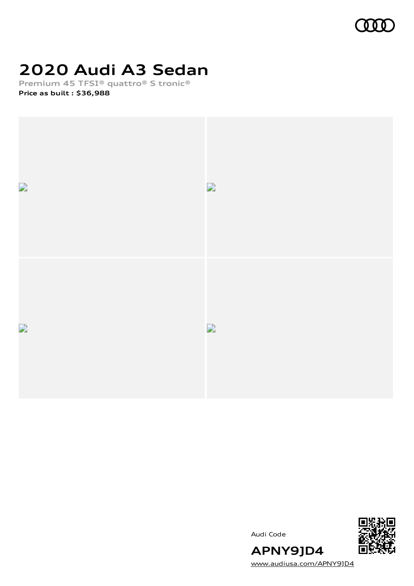

### **2020 Audi A3 Sedan**

**Premium 45 TFSI® quattro® S tronic®**

**Price as built [:](#page-9-0) \$36,988**







[www.audiusa.com/APNY9JD4](https://www.audiusa.com/APNY9JD4)

**APNY9JD4**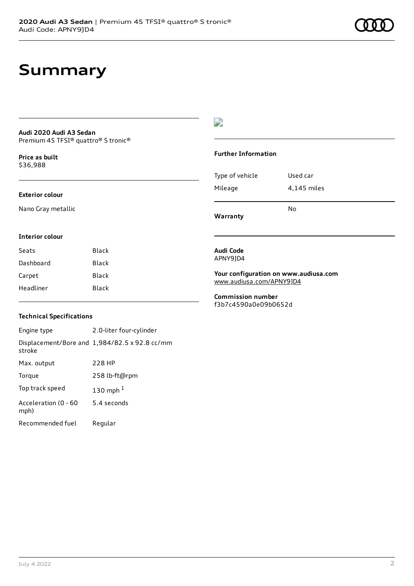### **Summary**

#### **Audi 2020 Audi A3 Sedan** Premium 45 TFSI® quattro® S tronic®

**Price as buil[t](#page-9-0)** \$36,988

#### **Exterior colour**

**Interior colour**

Nano Gray metallic

### D

#### **Further Information**

| Type of vehicle | Used car    |
|-----------------|-------------|
| Mileage         | 4,145 miles |
|                 |             |

**Warranty**

### **Audi Code**

APNY9JD4

#### **Your configuration on www.audiusa.com** [www.audiusa.com/APNY9JD4](https://www.audiusa.com/APNY9JD4)

No

**Commission number** f3b7c4590a0e09b0652d

#### **Technical Specifications**

Seats Black Dashboard Black Carpet Black Headliner Black

Engine type 2.0-liter four-cylinder Displacement/Bore and 1,984/82.5 x 92.8 cc/mm stroke Max. output 228 HP Torque 258 lb-ft@rpm Top track speed [1](#page-9-0)30 mph $<sup>1</sup>$ </sup> Acceleration (0 - 60 mph) 5.4 seconds Recommended fuel Regular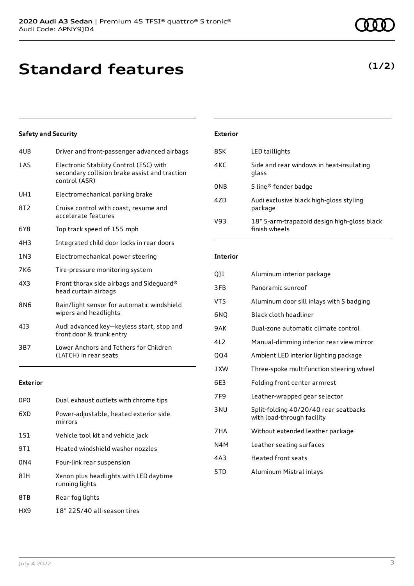# **Standard features**

**(1/2)**

### **Safety and Security**

| 4UB             | Driver and front-passenger advanced airbags                                                               |
|-----------------|-----------------------------------------------------------------------------------------------------------|
| 1 A S           | Electronic Stability Control (ESC) with<br>secondary collision brake assist and traction<br>control (ASR) |
| UH1             | Electromechanical parking brake                                                                           |
| 8T <sub>2</sub> | Cruise control with coast, resume and<br>accelerate features                                              |
| 6Y8             | Top track speed of 155 mph                                                                                |
| 4H3             | Integrated child door locks in rear doors                                                                 |
| 1 N 3           | Electromechanical power steering                                                                          |
| 7K6             | Tire-pressure monitoring system                                                                           |
| 4X3             | Front thorax side airbags and Sideguard®<br>head curtain airbags                                          |
| <b>8N6</b>      | Rain/light sensor for automatic windshield<br>wipers and headlights                                       |
| 413             | Audi advanced key-keyless start, stop and<br>front door & trunk entry                                     |
| 3B7             | Lower Anchors and Tethers for Children<br>(LATCH) in rear seats                                           |

#### **Exterior**

| 0P <sub>0</sub> | Dual exhaust outlets with chrome tips                    |
|-----------------|----------------------------------------------------------|
| 6XD             | Power-adjustable, heated exterior side<br>mirrors        |
| 1S1             | Vehicle tool kit and vehicle jack                        |
| 9T1             | Heated windshield washer nozzles                         |
| 0 <sub>N4</sub> | Four-link rear suspension                                |
| 8IH             | Xenon plus headlights with LED daytime<br>running lights |
| 8TB             | Rear fog lights                                          |
| HX9             | 18" 225/40 all-season tires                              |

### **Exterior**

| 8SK             | LED taillights                                               |
|-----------------|--------------------------------------------------------------|
| 4KC             | Side and rear windows in heat-insulating<br>glass            |
| 0 <sub>NB</sub> | S line <sup>®</sup> fender badge                             |
| 47 <sub>D</sub> | Audi exclusive black high-gloss styling<br>package           |
| V93             | 18" 5-arm-trapazoid design high-gloss black<br>finish wheels |

### **Interior**

| QJ1             | Aluminum interior package                                           |
|-----------------|---------------------------------------------------------------------|
| 3FB             | Panoramic sunroof                                                   |
| VT5             | Aluminum door sill inlays with S badging                            |
| 6NQ             | Black cloth headliner                                               |
| 9AK             | Dual-zone automatic climate control                                 |
| 4L2             | Manual-dimming interior rear view mirror                            |
| <b>QQ4</b>      | Ambient LED interior lighting package                               |
| 1 XW            | Three-spoke multifunction steering wheel                            |
| 6E3             | Folding front center armrest                                        |
| 7F <sub>9</sub> | Leather-wrapped gear selector                                       |
| 3 <sub>NU</sub> | Split-folding 40/20/40 rear seatbacks<br>with load-through facility |
| 7HA             | Without extended leather package                                    |
| N4M             | Leather seating surfaces                                            |
| 4A3             | <b>Heated front seats</b>                                           |
| 5TD             | Aluminum Mistral inlays                                             |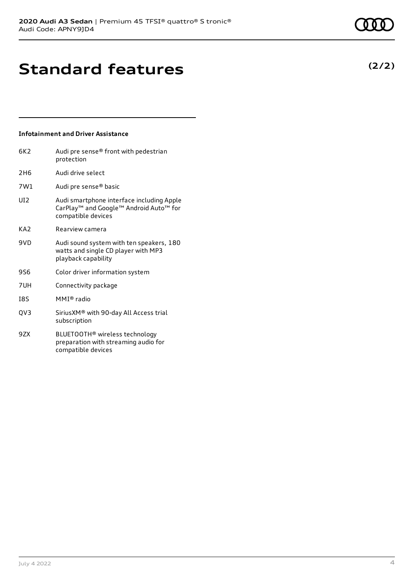**(2/2)**

### **Standard features**

### **Infotainment and Driver Assistance**

| 6K2             | Audi pre sense® front with pedestrian<br>protection                                                       |
|-----------------|-----------------------------------------------------------------------------------------------------------|
| 2H <sub>6</sub> | Audi drive select                                                                                         |
| 7W1             | Audi pre sense® basic                                                                                     |
| UI <sub>2</sub> | Audi smartphone interface including Apple<br>CarPlay™ and Google™ Android Auto™ for<br>compatible devices |
| KA <sub>2</sub> | Rearview camera                                                                                           |
| 9VD             | Audi sound system with ten speakers, 180<br>watts and single CD player with MP3<br>playback capability    |
| 9S6             | Color driver information system                                                                           |
| 7UH             | Connectivity package                                                                                      |
| <b>I8S</b>      | MMI® radio                                                                                                |
| QV3             | SiriusXM® with 90-day All Access trial<br>subscription                                                    |
| 9ZX             | BLUETOOTH <sup>®</sup> wireless technology<br>preparation with streaming audio for<br>compatible devices  |

compatible devices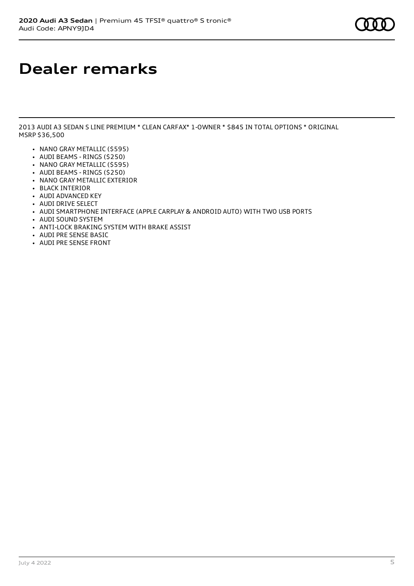### **Dealer remarks**

2013 AUDI A3 SEDAN S LINE PREMIUM \* CLEAN CARFAX\* 1-OWNER \* \$845 IN TOTAL OPTIONS \* ORIGINAL MSRP \$36,500

- NANO GRAY METALLIC (\$595)
- AUDI BEAMS RINGS (\$250)
- NANO GRAY METALLIC (\$595)
- AUDI BEAMS RINGS (\$250) • NANO GRAY METALLIC EXTERIOR
- BLACK INTERIOR
- AUDI ADVANCED KEY
- **AUDI DRIVE SELECT**
- 
- AUDI SMARTPHONE INTERFACE (APPLE CARPLAY & ANDROID AUTO) WITH TWO USB PORTS • AUDI SOUND SYSTEM
- 
- ANTI-LOCK BRAKING SYSTEM WITH BRAKE ASSIST
- AUDI PRE SENSE BASIC
- AUDI PRE SENSE FRONT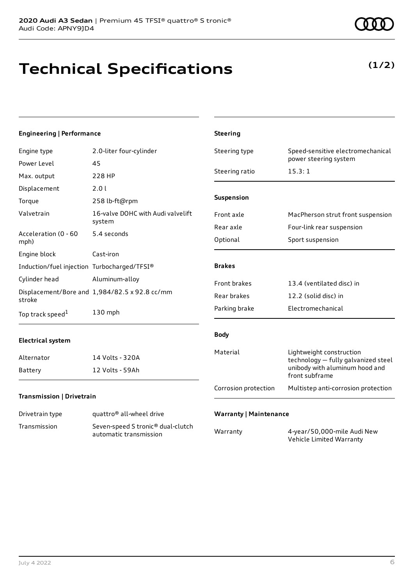**Technical Specifications**

### **Transmission | Drivetrain**

| Drivetrain type | quattro <sup>®</sup> all-wheel drive                                    |
|-----------------|-------------------------------------------------------------------------|
| Transmission    | Seven-speed S tronic <sup>®</sup> dual-clutch<br>automatic transmission |

|     | ance                              | <b>Steering</b>      |                                                                 |
|-----|-----------------------------------|----------------------|-----------------------------------------------------------------|
|     | 2.0-liter four-cylinder           | Steering type        | Speed-sensitive electromechanical<br>power steering system      |
|     | 45<br>228 HP                      | Steering ratio       | 15.3:1                                                          |
|     |                                   |                      |                                                                 |
|     | 2.01                              | Suspension           |                                                                 |
|     | 258 lb-ft@rpm                     |                      |                                                                 |
|     | 16-valve DOHC with Audi valvelift | Front axle           | MacPherson strut front suspension                               |
|     | system                            | Rear axle            | Four-link rear suspension                                       |
|     | 5.4 seconds                       | Optional             | Sport suspension                                                |
|     | Cast-iron                         |                      |                                                                 |
|     | n Turbocharged/TFSI®              | <b>Brakes</b>        |                                                                 |
|     | Aluminum-alloy                    | Front brakes         | 13.4 (ventilated disc) in                                       |
|     | d 1,984/82.5 x 92.8 cc/mm         | Rear brakes          | 12.2 (solid disc) in                                            |
|     | 130 mph                           | Parking brake        | Electromechanical                                               |
|     |                                   |                      |                                                                 |
|     |                                   | <b>Body</b>          |                                                                 |
|     | 14 Volts - 320A                   | Material             | Lightweight construction<br>technology - fully galvanized steel |
|     | 12 Volts - 59Ah                   |                      | unibody with aluminum hood and<br>front subframe                |
| sin |                                   | Corrosion protection | Multistep anti-corrosion protection                             |
|     |                                   |                      |                                                                 |

### **Engineering | Performance**

Engine type Power Level

| Max. output                                 | 228 HP                                                      | Steering ratio                | 13. J. I                                                  |
|---------------------------------------------|-------------------------------------------------------------|-------------------------------|-----------------------------------------------------------|
| Displacement                                | 2.0 l                                                       |                               |                                                           |
| Torque                                      | 258 lb-ft@rpm                                               | Suspension                    |                                                           |
| Valvetrain                                  | 16-valve DOHC with Audi valvelift                           | Front axle                    | MacPherson strut front susper                             |
|                                             | system                                                      | Rear axle                     | Four-link rear suspension                                 |
| Acceleration (0 - 60<br>mph)                | 5.4 seconds                                                 | Optional                      | Sport suspension                                          |
| Engine block                                | Cast-iron                                                   |                               |                                                           |
| Induction/fuel injection Turbocharged/TFSI® |                                                             | <b>Brakes</b>                 |                                                           |
| Cylinder head                               | Aluminum-alloy                                              | Front brakes                  | 13.4 (ventilated disc) in                                 |
| stroke                                      | Displacement/Bore and 1,984/82.5 x 92.8 cc/mm               | Rear brakes                   | 12.2 (solid disc) in                                      |
| Top track speed <sup>1</sup>                | 130 mph                                                     | Parking brake                 | Electromechanical                                         |
| <b>Electrical system</b>                    |                                                             | <b>Body</b>                   |                                                           |
| Alternator                                  | 14 Volts - 320A                                             | Material                      | Lightweight construction<br>technology - fully galvanized |
| Battery                                     | 12 Volts - 59Ah                                             |                               | unibody with aluminum hood a<br>front subframe            |
| <b>Transmission   Drivetrain</b>            |                                                             | Corrosion protection          | Multistep anti-corrosion prote                            |
|                                             |                                                             |                               |                                                           |
| Drivetrain type                             | quattro <sup>®</sup> all-wheel drive                        | <b>Warranty   Maintenance</b> |                                                           |
| Transmission                                | Seven-speed S tronic® dual-clutch<br>automatic transmission | Warranty                      | 4-year/50,000-mile Audi New<br>Vehicle Limited Warranty   |

**(1/2)**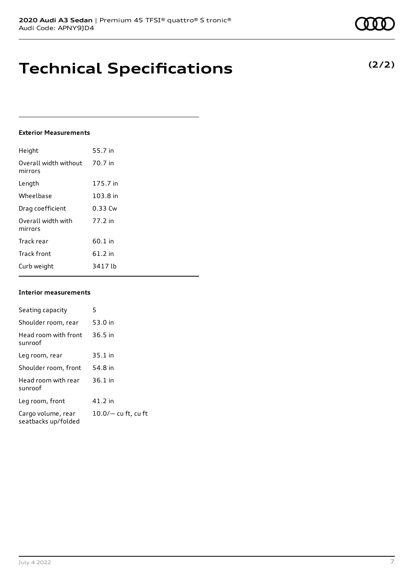### **Technical Specifications**

#### **Exterior Measurements**

| Height                           | 55.7 in   |
|----------------------------------|-----------|
| Overall width without<br>mirrors | 70.7 in   |
| Length                           | 175.7 in  |
| Wheelbase                        | 103.8 in  |
| Drag coefficient                 | 0.33 Cw   |
| Overall width with<br>mirrors    | 77.2 in   |
| Track rear                       | 60.1 in   |
| <b>Track front</b>               | $61.2$ in |
| Curb weight                      | 3417 lb   |

#### **Interior measurements**

| Seating capacity                          | 5                   |
|-------------------------------------------|---------------------|
| Shoulder room, rear                       | 53.0 in             |
| Head room with front<br>sunroof           | $36.5$ in           |
| Leg room, rear                            | 35.1 in             |
| Shoulder room, front                      | 54.8 in             |
| Head room with rear<br>sunroof            | $36.1$ in           |
| Leg room, front                           | 41.2 in             |
| Cargo volume, rear<br>seatbacks up/folded | 10.0/— cu ft, cu ft |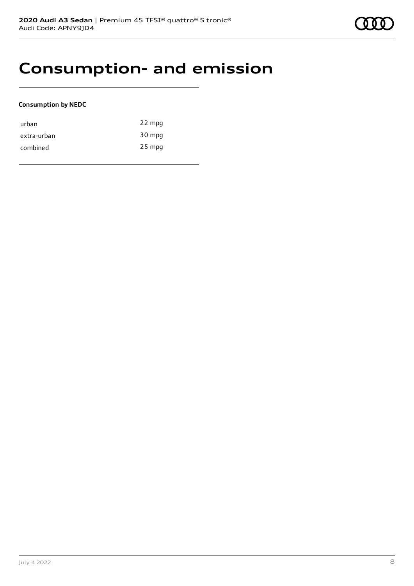### **Consumption- and emission**

### **Consumption by NEDC**

| urban       | 22 mpg   |
|-------------|----------|
| extra-urban | 30 mpg   |
| combined    | $25$ mpg |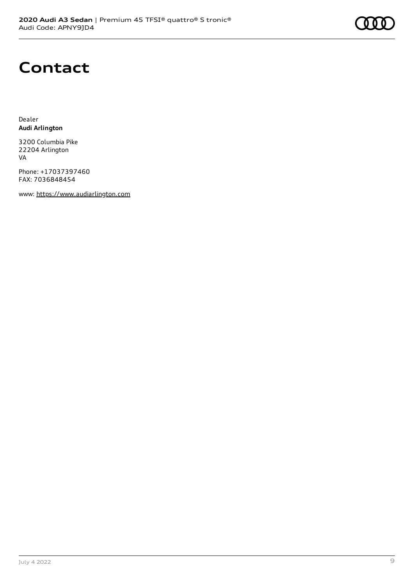

### **Contact**

Dealer **Audi Arlington**

3200 Columbia Pike 22204 Arlington VA

Phone: +17037397460 FAX: 7036848454

www: [https://www.audiarlington.com](https://www.audiarlington.com/)